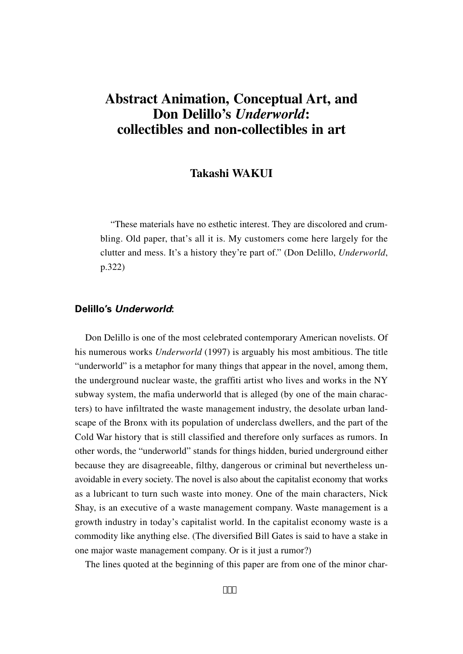## **Takashi WAKUI**

"These materials have no esthetic interest. They are discolored and crumbling. Old paper, that's all it is. My customers come here largely for the clutter and mess. It's a history they're part of." (Don Delillo, *Underworld*, p.322)

# **Delillo's Underworld:**

Don Delillo is one of the most celebrated contemporary American novelists. Of his numerous works *Underworld* (1997) is arguably his most ambitious. The title "underworld" is a metaphor for many things that appear in the novel, among them, the underground nuclear waste, the graffiti artist who lives and works in the NY subway system, the mafia underworld that is alleged (by one of the main characters) to have infiltrated the waste management industry, the desolate urban landscape of the Bronx with its population of underclass dwellers, and the part of the Cold War history that is still classified and therefore only surfaces as rumors. In other words, the "underworld" stands for things hidden, buried underground either because they are disagreeable, filthy, dangerous or criminal but nevertheless unavoidable in every society. The novel is also about the capitalist economy that works as a lubricant to turn such waste into money. One of the main characters, Nick Shay, is an executive of a waste management company. Waste management is a growth industry in today's capitalist world. In the capitalist economy waste is a commodity like anything else. (The diversified Bill Gates is said to have a stake in one major waste management company. Or is it just a rumor?)

The lines quoted at the beginning of this paper are from one of the minor char-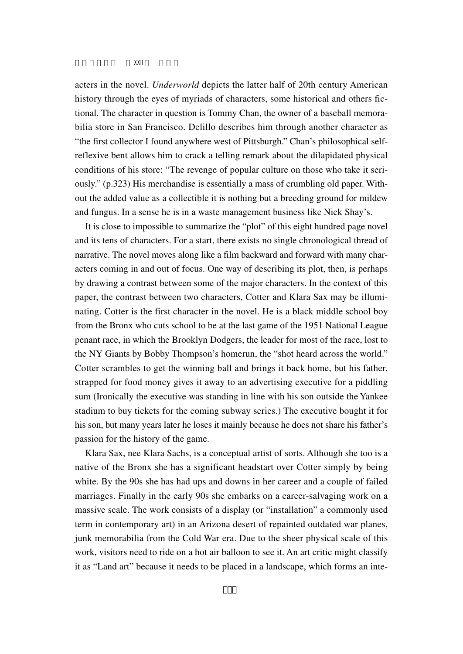acters in the novel. *Underworld* depicts the latter half of 20th century American history through the eyes of myriads of characters, some historical and others fictional. The character in question is Tommy Chan, the owner of a baseball memorabilia store in San Francisco. Delillo describes him through another character as "the first collector I found anywhere west of Pittsburgh." Chan's philosophical selfreflexive bent allows him to crack a telling remark about the dilapidated physical conditions of his store: "The revenge of popular culture on those who take it seriously." (p.323) His merchandise is essentially a mass of crumbling old paper. Without the added value as a collectible it is nothing but a breeding ground for mildew and fungus. In a sense he is in a waste management business like Nick Shay's.

It is close to impossible to summarize the "plot" of this eight hundred page novel and its tens of characters. For a start, there exists no single chronological thread of narrative. The novel moves along like a film backward and forward with many characters coming in and out of focus. One way of describing its plot, then, is perhaps by drawing a contrast between some of the major characters. In the context of this paper, the contrast between two characters, Cotter and Klara Sax may be illuminating. Cotter is the first character in the novel. He is a black middle school boy from the Bronx who cuts school to be at the last game of the 1951 National League penant race, in which the Brooklyn Dodgers, the leader for most of the race, lost to the NY Giants by Bobby Thompson's homerun, the "shot heard across the world." Cotter scrambles to get the winning ball and brings it back home, but his father, strapped for food money gives it away to an advertising executive for a piddling sum (Ironically the executive was standing in line with his son outside the Yankee stadium to buy tickets for the coming subway series.) The executive bought it for his son, but many years later he loses it mainly because he does not share his father's passion for the history of the game.

Klara Sax, nee Klara Sachs, is a conceptual artist of sorts. Although she too is a native of the Bronx she has a significant headstart over Cotter simply by being white. By the 90s she has had ups and downs in her career and a couple of failed marriages. Finally in the early 90s she embarks on a career-salvaging work on a massive scale. The work consists of a display (or "installation" a commonly used term in contemporary art) in an Arizona desert of repainted outdated war planes, junk memorabilia from the Cold War era. Due to the sheer physical scale of this work, visitors need to ride on a hot air balloon to see it. An art critic might classify it as "Land art" because it needs to be placed in a landscape, which forms an inte-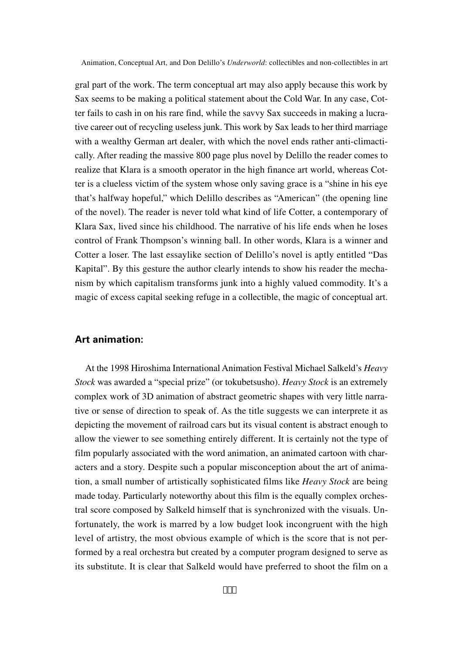gral part of the work. The term conceptual art may also apply because this work by Sax seems to be making a political statement about the Cold War. In any case, Cotter fails to cash in on his rare find, while the savvy Sax succeeds in making a lucrative career out of recycling useless junk. This work by Sax leads to her third marriage with a wealthy German art dealer, with which the novel ends rather anti-climactically. After reading the massive 800 page plus novel by Delillo the reader comes to realize that Klara is a smooth operator in the high finance art world, whereas Cotter is a clueless victim of the system whose only saving grace is a "shine in his eye that's halfway hopeful," which Delillo describes as "American" (the opening line of the novel). The reader is never told what kind of life Cotter, a contemporary of Klara Sax, lived since his childhood. The narrative of his life ends when he loses control of Frank Thompson's winning ball. In other words, Klara is a winner and Cotter a loser. The last essaylike section of Delillo's novel is aptly entitled "Das Kapital". By this gesture the author clearly intends to show his reader the mechanism by which capitalism transforms junk into a highly valued commodity. It's a magic of excess capital seeking refuge in a collectible, the magic of conceptual art.

## **Art animation:**

At the 1998 Hiroshima International Animation Festival Michael Salkeld's *Heavy Stock* was awarded a "special prize" (or tokubetsusho). *Heavy Stock* is an extremely complex work of 3D animation of abstract geometric shapes with very little narrative or sense of direction to speak of. As the title suggests we can interprete it as depicting the movement of railroad cars but its visual content is abstract enough to allow the viewer to see something entirely different. It is certainly not the type of film popularly associated with the word animation, an animated cartoon with characters and a story. Despite such a popular misconception about the art of animation, a small number of artistically sophisticated films like *Heavy Stock* are being made today. Particularly noteworthy about this film is the equally complex orchestral score composed by Salkeld himself that is synchronized with the visuals. Unfortunately, the work is marred by a low budget look incongruent with the high level of artistry, the most obvious example of which is the score that is not performed by a real orchestra but created by a computer program designed to serve as its substitute. It is clear that Salkeld would have preferred to shoot the film on a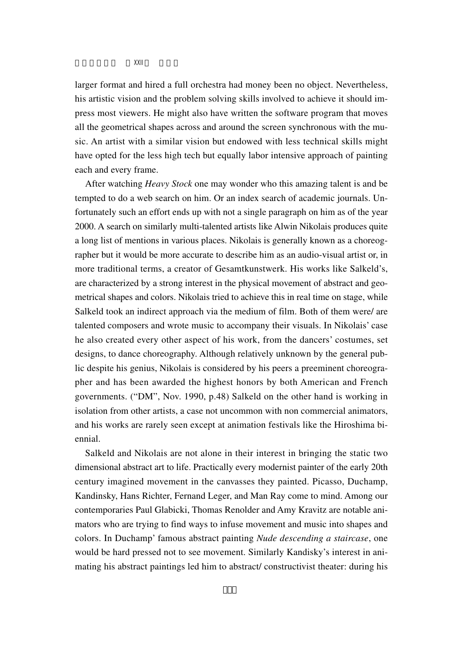larger format and hired a full orchestra had money been no object. Nevertheless, his artistic vision and the problem solving skills involved to achieve it should impress most viewers. He might also have written the software program that moves all the geometrical shapes across and around the screen synchronous with the music. An artist with a similar vision but endowed with less technical skills might have opted for the less high tech but equally labor intensive approach of painting each and every frame.

After watching *Heavy Stock* one may wonder who this amazing talent is and be tempted to do a web search on him. Or an index search of academic journals. Unfortunately such an effort ends up with not a single paragraph on him as of the year 2000. A search on similarly multi-talented artists like Alwin Nikolais produces quite a long list of mentions in various places. Nikolais is generally known as a choreographer but it would be more accurate to describe him as an audio-visual artist or, in more traditional terms, a creator of Gesamtkunstwerk. His works like Salkeld's, are characterized by a strong interest in the physical movement of abstract and geometrical shapes and colors. Nikolais tried to achieve this in real time on stage, while Salkeld took an indirect approach via the medium of film. Both of them were/ are talented composers and wrote music to accompany their visuals. In Nikolais' case he also created every other aspect of his work, from the dancers' costumes, set designs, to dance choreography. Although relatively unknown by the general public despite his genius, Nikolais is considered by his peers a preeminent choreographer and has been awarded the highest honors by both American and French governments. ("DM", Nov. 1990, p.48) Salkeld on the other hand is working in isolation from other artists, a case not uncommon with non commercial animators, and his works are rarely seen except at animation festivals like the Hiroshima biennial.

Salkeld and Nikolais are not alone in their interest in bringing the static two dimensional abstract art to life. Practically every modernist painter of the early 20th century imagined movement in the canvasses they painted. Picasso, Duchamp, Kandinsky, Hans Richter, Fernand Leger, and Man Ray come to mind. Among our contemporaries Paul Glabicki, Thomas Renolder and Amy Kravitz are notable animators who are trying to find ways to infuse movement and music into shapes and colors. In Duchamp' famous abstract painting *Nude descending a staircase*, one would be hard pressed not to see movement. Similarly Kandisky's interest in animating his abstract paintings led him to abstract/ constructivist theater: during his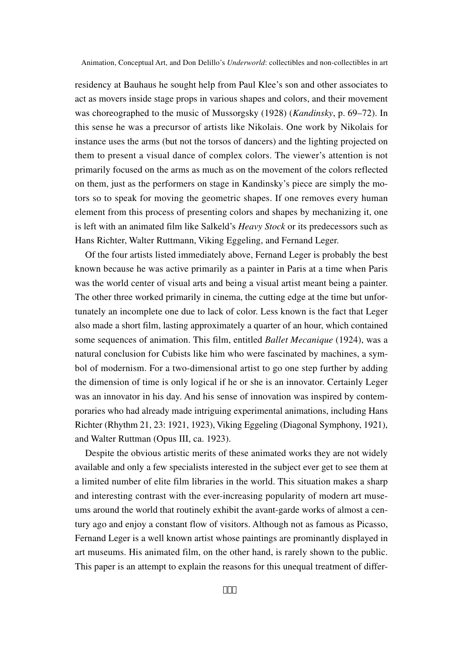residency at Bauhaus he sought help from Paul Klee's son and other associates to act as movers inside stage props in various shapes and colors, and their movement was choreographed to the music of Mussorgsky (1928) (*Kandinsky*, p. 69–72). In this sense he was a precursor of artists like Nikolais. One work by Nikolais for instance uses the arms (but not the torsos of dancers) and the lighting projected on them to present a visual dance of complex colors. The viewer's attention is not primarily focused on the arms as much as on the movement of the colors reflected on them, just as the performers on stage in Kandinsky's piece are simply the motors so to speak for moving the geometric shapes. If one removes every human element from this process of presenting colors and shapes by mechanizing it, one is left with an animated film like Salkeld's *Heavy Stock* or its predecessors such as Hans Richter, Walter Ruttmann, Viking Eggeling, and Fernand Leger.

Of the four artists listed immediately above, Fernand Leger is probably the best known because he was active primarily as a painter in Paris at a time when Paris was the world center of visual arts and being a visual artist meant being a painter. The other three worked primarily in cinema, the cutting edge at the time but unfortunately an incomplete one due to lack of color. Less known is the fact that Leger also made a short film, lasting approximately a quarter of an hour, which contained some sequences of animation. This film, entitled *Ballet Mecanique* (1924), was a natural conclusion for Cubists like him who were fascinated by machines, a symbol of modernism. For a two-dimensional artist to go one step further by adding the dimension of time is only logical if he or she is an innovator. Certainly Leger was an innovator in his day. And his sense of innovation was inspired by contemporaries who had already made intriguing experimental animations, including Hans Richter (Rhythm 21, 23: 1921, 1923), Viking Eggeling (Diagonal Symphony, 1921), and Walter Ruttman (Opus III, ca. 1923).

Despite the obvious artistic merits of these animated works they are not widely available and only a few specialists interested in the subject ever get to see them at a limited number of elite film libraries in the world. This situation makes a sharp and interesting contrast with the ever-increasing popularity of modern art museums around the world that routinely exhibit the avant-garde works of almost a century ago and enjoy a constant flow of visitors. Although not as famous as Picasso, Fernand Leger is a well known artist whose paintings are prominantly displayed in art museums. His animated film, on the other hand, is rarely shown to the public. This paper is an attempt to explain the reasons for this unequal treatment of differ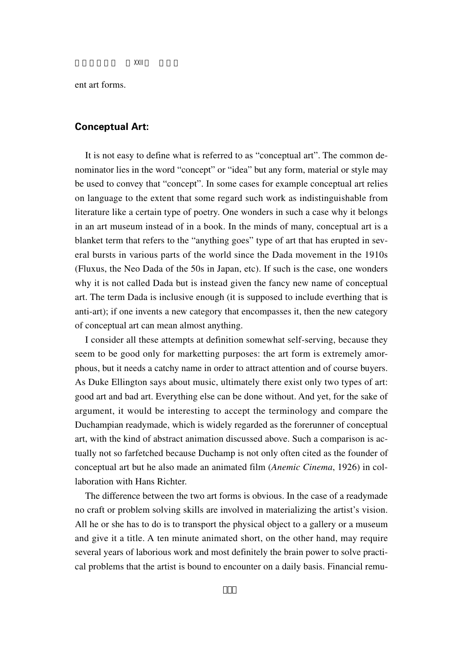ent art forms.

#### **Conceptual Art:**

It is not easy to define what is referred to as "conceptual art". The common denominator lies in the word "concept" or "idea" but any form, material or style may be used to convey that "concept". In some cases for example conceptual art relies on language to the extent that some regard such work as indistinguishable from literature like a certain type of poetry. One wonders in such a case why it belongs in an art museum instead of in a book. In the minds of many, conceptual art is a blanket term that refers to the "anything goes" type of art that has erupted in several bursts in various parts of the world since the Dada movement in the 1910s (Fluxus, the Neo Dada of the 50s in Japan, etc). If such is the case, one wonders why it is not called Dada but is instead given the fancy new name of conceptual art. The term Dada is inclusive enough (it is supposed to include everthing that is anti-art); if one invents a new category that encompasses it, then the new category of conceptual art can mean almost anything.

I consider all these attempts at definition somewhat self-serving, because they seem to be good only for marketting purposes: the art form is extremely amorphous, but it needs a catchy name in order to attract attention and of course buyers. As Duke Ellington says about music, ultimately there exist only two types of art: good art and bad art. Everything else can be done without. And yet, for the sake of argument, it would be interesting to accept the terminology and compare the Duchampian readymade, which is widely regarded as the forerunner of conceptual art, with the kind of abstract animation discussed above. Such a comparison is actually not so farfetched because Duchamp is not only often cited as the founder of conceptual art but he also made an animated film (*Anemic Cinema*, 1926) in collaboration with Hans Richter.

The difference between the two art forms is obvious. In the case of a readymade no craft or problem solving skills are involved in materializing the artist's vision. All he or she has to do is to transport the physical object to a gallery or a museum and give it a title. A ten minute animated short, on the other hand, may require several years of laborious work and most definitely the brain power to solve practical problems that the artist is bound to encounter on a daily basis. Financial remu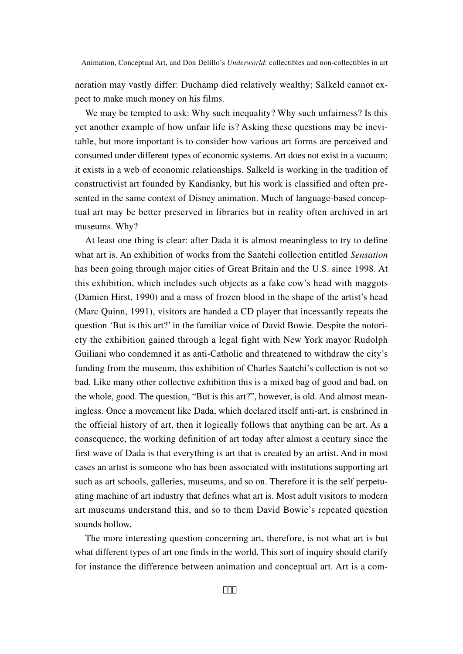neration may vastly differ: Duchamp died relatively wealthy; Salkeld cannot expect to make much money on his films.

We may be tempted to ask: Why such inequality? Why such unfairness? Is this yet another example of how unfair life is? Asking these questions may be inevitable, but more important is to consider how various art forms are perceived and consumed under different types of economic systems. Art does not exist in a vacuum; it exists in a web of economic relationships. Salkeld is working in the tradition of constructivist art founded by Kandisnky, but his work is classified and often presented in the same context of Disney animation. Much of language-based conceptual art may be better preserved in libraries but in reality often archived in art museums. Why?

At least one thing is clear: after Dada it is almost meaningless to try to define what art is. An exhibition of works from the Saatchi collection entitled *Sensation* has been going through major cities of Great Britain and the U.S. since 1998. At this exhibition, which includes such objects as a fake cow's head with maggots (Damien Hirst, 1990) and a mass of frozen blood in the shape of the artist's head (Marc Quinn, 1991), visitors are handed a CD player that incessantly repeats the question 'But is this art?' in the familiar voice of David Bowie. Despite the notoriety the exhibition gained through a legal fight with New York mayor Rudolph Guiliani who condemned it as anti-Catholic and threatened to withdraw the city's funding from the museum, this exhibition of Charles Saatchi's collection is not so bad. Like many other collective exhibition this is a mixed bag of good and bad, on the whole, good. The question, "But is this art?", however, is old. And almost meaningless. Once a movement like Dada, which declared itself anti-art, is enshrined in the official history of art, then it logically follows that anything can be art. As a consequence, the working definition of art today after almost a century since the first wave of Dada is that everything is art that is created by an artist. And in most cases an artist is someone who has been associated with institutions supporting art such as art schools, galleries, museums, and so on. Therefore it is the self perpetuating machine of art industry that defines what art is. Most adult visitors to modern art museums understand this, and so to them David Bowie's repeated question sounds hollow.

The more interesting question concerning art, therefore, is not what art is but what different types of art one finds in the world. This sort of inquiry should clarify for instance the difference between animation and conceptual art. Art is a com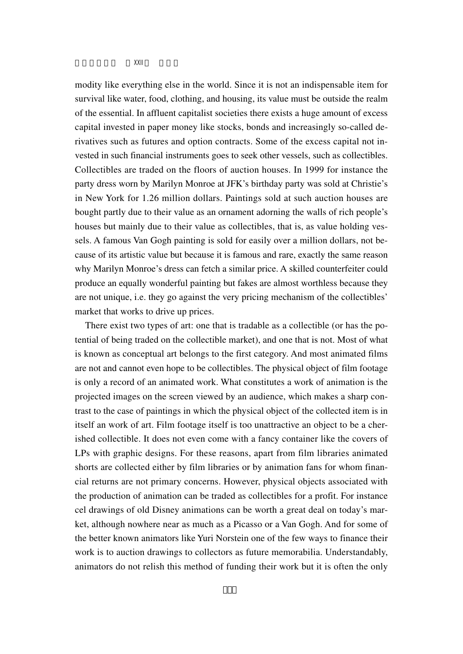modity like everything else in the world. Since it is not an indispensable item for survival like water, food, clothing, and housing, its value must be outside the realm of the essential. In affluent capitalist societies there exists a huge amount of excess capital invested in paper money like stocks, bonds and increasingly so-called derivatives such as futures and option contracts. Some of the excess capital not invested in such financial instruments goes to seek other vessels, such as collectibles. Collectibles are traded on the floors of auction houses. In 1999 for instance the party dress worn by Marilyn Monroe at JFK's birthday party was sold at Christie's in New York for 1.26 million dollars. Paintings sold at such auction houses are bought partly due to their value as an ornament adorning the walls of rich people's houses but mainly due to their value as collectibles, that is, as value holding vessels. A famous Van Gogh painting is sold for easily over a million dollars, not because of its artistic value but because it is famous and rare, exactly the same reason why Marilyn Monroe's dress can fetch a similar price. A skilled counterfeiter could produce an equally wonderful painting but fakes are almost worthless because they are not unique, i.e. they go against the very pricing mechanism of the collectibles' market that works to drive up prices.

There exist two types of art: one that is tradable as a collectible (or has the potential of being traded on the collectible market), and one that is not. Most of what is known as conceptual art belongs to the first category. And most animated films are not and cannot even hope to be collectibles. The physical object of film footage is only a record of an animated work. What constitutes a work of animation is the projected images on the screen viewed by an audience, which makes a sharp contrast to the case of paintings in which the physical object of the collected item is in itself an work of art. Film footage itself is too unattractive an object to be a cherished collectible. It does not even come with a fancy container like the covers of LPs with graphic designs. For these reasons, apart from film libraries animated shorts are collected either by film libraries or by animation fans for whom financial returns are not primary concerns. However, physical objects associated with the production of animation can be traded as collectibles for a profit. For instance cel drawings of old Disney animations can be worth a great deal on today's market, although nowhere near as much as a Picasso or a Van Gogh. And for some of the better known animators like Yuri Norstein one of the few ways to finance their work is to auction drawings to collectors as future memorabilia. Understandably, animators do not relish this method of funding their work but it is often the only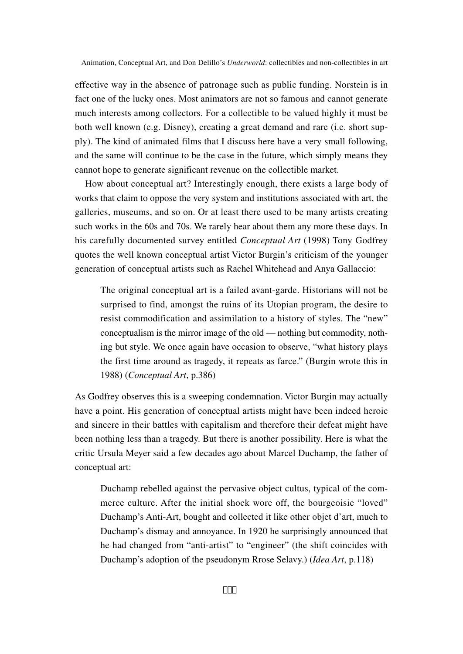effective way in the absence of patronage such as public funding. Norstein is in fact one of the lucky ones. Most animators are not so famous and cannot generate much interests among collectors. For a collectible to be valued highly it must be both well known (e.g. Disney), creating a great demand and rare (i.e. short supply). The kind of animated films that I discuss here have a very small following, and the same will continue to be the case in the future, which simply means they cannot hope to generate significant revenue on the collectible market.

How about conceptual art? Interestingly enough, there exists a large body of works that claim to oppose the very system and institutions associated with art, the galleries, museums, and so on. Or at least there used to be many artists creating such works in the 60s and 70s. We rarely hear about them any more these days. In his carefully documented survey entitled *Conceptual Art* (1998) Tony Godfrey quotes the well known conceptual artist Victor Burgin's criticism of the younger generation of conceptual artists such as Rachel Whitehead and Anya Gallaccio:

The original conceptual art is a failed avant-garde. Historians will not be surprised to find, amongst the ruins of its Utopian program, the desire to resist commodification and assimilation to a history of styles. The "new" conceptualism is the mirror image of the old — nothing but commodity, nothing but style. We once again have occasion to observe, "what history plays the first time around as tragedy, it repeats as farce." (Burgin wrote this in 1988) (*Conceptual Art*, p.386)

As Godfrey observes this is a sweeping condemnation. Victor Burgin may actually have a point. His generation of conceptual artists might have been indeed heroic and sincere in their battles with capitalism and therefore their defeat might have been nothing less than a tragedy. But there is another possibility. Here is what the critic Ursula Meyer said a few decades ago about Marcel Duchamp, the father of conceptual art:

Duchamp rebelled against the pervasive object cultus, typical of the commerce culture. After the initial shock wore off, the bourgeoisie "loved" Duchamp's Anti-Art, bought and collected it like other objet d'art, much to Duchamp's dismay and annoyance. In 1920 he surprisingly announced that he had changed from "anti-artist" to "engineer" (the shift coincides with Duchamp's adoption of the pseudonym Rrose Selavy.) (*Idea Art*, p.118)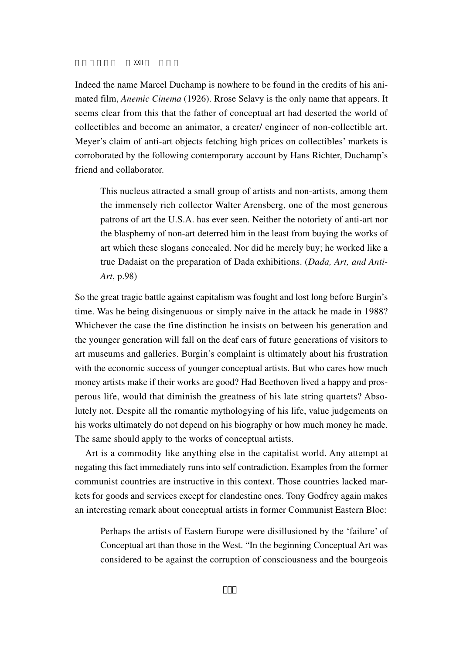Indeed the name Marcel Duchamp is nowhere to be found in the credits of his animated film, *Anemic Cinema* (1926). Rrose Selavy is the only name that appears. It seems clear from this that the father of conceptual art had deserted the world of collectibles and become an animator, a creater/ engineer of non-collectible art. Meyer's claim of anti-art objects fetching high prices on collectibles' markets is corroborated by the following contemporary account by Hans Richter, Duchamp's friend and collaborator.

This nucleus attracted a small group of artists and non-artists, among them the immensely rich collector Walter Arensberg, one of the most generous patrons of art the U.S.A. has ever seen. Neither the notoriety of anti-art nor the blasphemy of non-art deterred him in the least from buying the works of art which these slogans concealed. Nor did he merely buy; he worked like a true Dadaist on the preparation of Dada exhibitions. (*Dada, Art, and Anti-Art*, p.98)

So the great tragic battle against capitalism was fought and lost long before Burgin's time. Was he being disingenuous or simply naive in the attack he made in 1988? Whichever the case the fine distinction he insists on between his generation and the younger generation will fall on the deaf ears of future generations of visitors to art museums and galleries. Burgin's complaint is ultimately about his frustration with the economic success of younger conceptual artists. But who cares how much money artists make if their works are good? Had Beethoven lived a happy and prosperous life, would that diminish the greatness of his late string quartets? Absolutely not. Despite all the romantic mythologying of his life, value judgements on his works ultimately do not depend on his biography or how much money he made. The same should apply to the works of conceptual artists.

Art is a commodity like anything else in the capitalist world. Any attempt at negating this fact immediately runs into self contradiction. Examples from the former communist countries are instructive in this context. Those countries lacked markets for goods and services except for clandestine ones. Tony Godfrey again makes an interesting remark about conceptual artists in former Communist Eastern Bloc:

Perhaps the artists of Eastern Europe were disillusioned by the 'failure' of Conceptual art than those in the West. "In the beginning Conceptual Art was considered to be against the corruption of consciousness and the bourgeois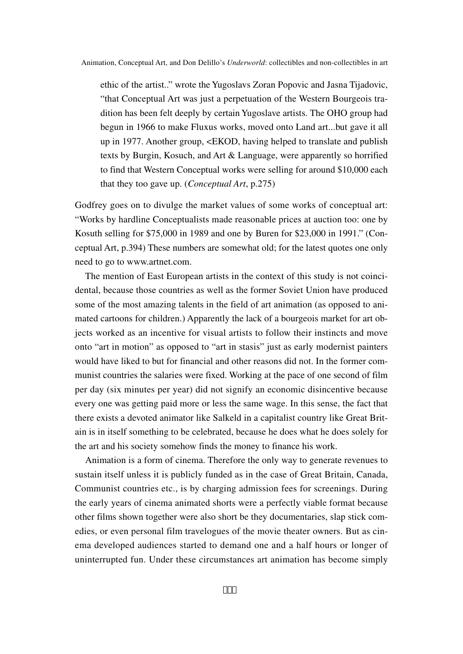ethic of the artist.." wrote the Yugoslavs Zoran Popovic and Jasna Tijadovic, "that Conceptual Art was just a perpetuation of the Western Bourgeois tradition has been felt deeply by certain Yugoslave artists. The OHO group had begun in 1966 to make Fluxus works, moved onto Land art...but gave it all up in 1977. Another group, <EKOD, having helped to translate and publish texts by Burgin, Kosuch, and Art & Language, were apparently so horrified to find that Western Conceptual works were selling for around \$10,000 each that they too gave up. (*Conceptual Art*, p.275)

Godfrey goes on to divulge the market values of some works of conceptual art: "Works by hardline Conceptualists made reasonable prices at auction too: one by Kosuth selling for \$75,000 in 1989 and one by Buren for \$23,000 in 1991." (Conceptual Art, p.394) These numbers are somewhat old; for the latest quotes one only need to go to www.artnet.com.

The mention of East European artists in the context of this study is not coincidental, because those countries as well as the former Soviet Union have produced some of the most amazing talents in the field of art animation (as opposed to animated cartoons for children.) Apparently the lack of a bourgeois market for art objects worked as an incentive for visual artists to follow their instincts and move onto "art in motion" as opposed to "art in stasis" just as early modernist painters would have liked to but for financial and other reasons did not. In the former communist countries the salaries were fixed. Working at the pace of one second of film per day (six minutes per year) did not signify an economic disincentive because every one was getting paid more or less the same wage. In this sense, the fact that there exists a devoted animator like Salkeld in a capitalist country like Great Britain is in itself something to be celebrated, because he does what he does solely for the art and his society somehow finds the money to finance his work.

Animation is a form of cinema. Therefore the only way to generate revenues to sustain itself unless it is publicly funded as in the case of Great Britain, Canada, Communist countries etc., is by charging admission fees for screenings. During the early years of cinema animated shorts were a perfectly viable format because other films shown together were also short be they documentaries, slap stick comedies, or even personal film travelogues of the movie theater owners. But as cinema developed audiences started to demand one and a half hours or longer of uninterrupted fun. Under these circumstances art animation has become simply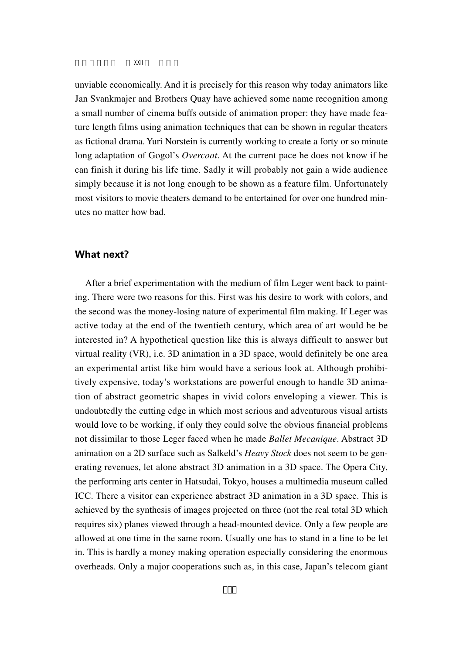unviable economically. And it is precisely for this reason why today animators like Jan Svankmajer and Brothers Quay have achieved some name recognition among a small number of cinema buffs outside of animation proper: they have made feature length films using animation techniques that can be shown in regular theaters as fictional drama. Yuri Norstein is currently working to create a forty or so minute long adaptation of Gogol's *Overcoat*. At the current pace he does not know if he can finish it during his life time. Sadly it will probably not gain a wide audience simply because it is not long enough to be shown as a feature film. Unfortunately most visitors to movie theaters demand to be entertained for over one hundred minutes no matter how bad.

#### **What next?**

After a brief experimentation with the medium of film Leger went back to painting. There were two reasons for this. First was his desire to work with colors, and the second was the money-losing nature of experimental film making. If Leger was active today at the end of the twentieth century, which area of art would he be interested in? A hypothetical question like this is always difficult to answer but virtual reality (VR), i.e. 3D animation in a 3D space, would definitely be one area an experimental artist like him would have a serious look at. Although prohibitively expensive, today's workstations are powerful enough to handle 3D animation of abstract geometric shapes in vivid colors enveloping a viewer. This is undoubtedly the cutting edge in which most serious and adventurous visual artists would love to be working, if only they could solve the obvious financial problems not dissimilar to those Leger faced when he made *Ballet Mecanique*. Abstract 3D animation on a 2D surface such as Salkeld's *Heavy Stock* does not seem to be generating revenues, let alone abstract 3D animation in a 3D space. The Opera City, the performing arts center in Hatsudai, Tokyo, houses a multimedia museum called ICC. There a visitor can experience abstract 3D animation in a 3D space. This is achieved by the synthesis of images projected on three (not the real total 3D which requires six) planes viewed through a head-mounted device. Only a few people are allowed at one time in the same room. Usually one has to stand in a line to be let in. This is hardly a money making operation especially considering the enormous overheads. Only a major cooperations such as, in this case, Japan's telecom giant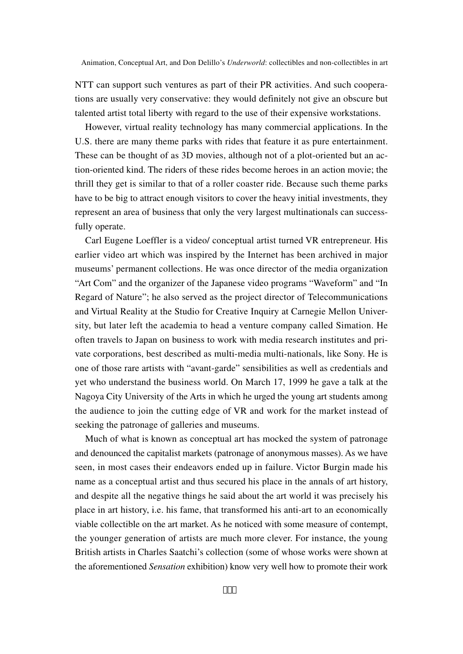NTT can support such ventures as part of their PR activities. And such cooperations are usually very conservative: they would definitely not give an obscure but talented artist total liberty with regard to the use of their expensive workstations.

However, virtual reality technology has many commercial applications. In the U.S. there are many theme parks with rides that feature it as pure entertainment. These can be thought of as 3D movies, although not of a plot-oriented but an action-oriented kind. The riders of these rides become heroes in an action movie; the thrill they get is similar to that of a roller coaster ride. Because such theme parks have to be big to attract enough visitors to cover the heavy initial investments, they represent an area of business that only the very largest multinationals can successfully operate.

Carl Eugene Loeffler is a video/ conceptual artist turned VR entrepreneur. His earlier video art which was inspired by the Internet has been archived in major museums' permanent collections. He was once director of the media organization "Art Com" and the organizer of the Japanese video programs "Waveform" and "In Regard of Nature"; he also served as the project director of Telecommunications and Virtual Reality at the Studio for Creative Inquiry at Carnegie Mellon University, but later left the academia to head a venture company called Simation. He often travels to Japan on business to work with media research institutes and private corporations, best described as multi-media multi-nationals, like Sony. He is one of those rare artists with "avant-garde" sensibilities as well as credentials and yet who understand the business world. On March 17, 1999 he gave a talk at the Nagoya City University of the Arts in which he urged the young art students among the audience to join the cutting edge of VR and work for the market instead of seeking the patronage of galleries and museums.

Much of what is known as conceptual art has mocked the system of patronage and denounced the capitalist markets (patronage of anonymous masses). As we have seen, in most cases their endeavors ended up in failure. Victor Burgin made his name as a conceptual artist and thus secured his place in the annals of art history, and despite all the negative things he said about the art world it was precisely his place in art history, i.e. his fame, that transformed his anti-art to an economically viable collectible on the art market. As he noticed with some measure of contempt, the younger generation of artists are much more clever. For instance, the young British artists in Charles Saatchi's collection (some of whose works were shown at the aforementioned *Sensation* exhibition) know very well how to promote their work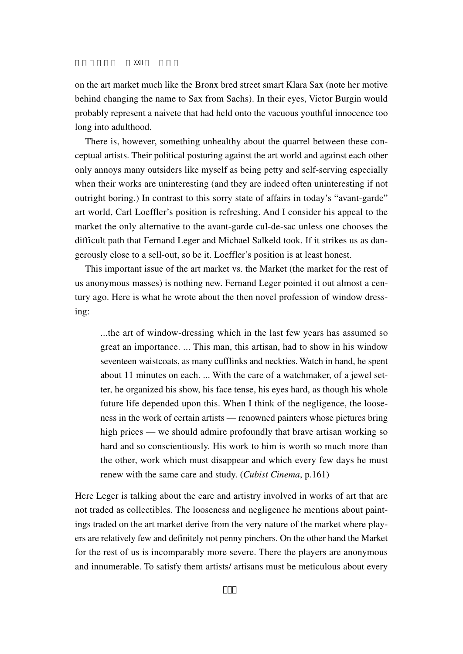on the art market much like the Bronx bred street smart Klara Sax (note her motive behind changing the name to Sax from Sachs). In their eyes, Victor Burgin would probably represent a naivete that had held onto the vacuous youthful innocence too long into adulthood.

There is, however, something unhealthy about the quarrel between these conceptual artists. Their political posturing against the art world and against each other only annoys many outsiders like myself as being petty and self-serving especially when their works are uninteresting (and they are indeed often uninteresting if not outright boring.) In contrast to this sorry state of affairs in today's "avant-garde" art world, Carl Loeffler's position is refreshing. And I consider his appeal to the market the only alternative to the avant-garde cul-de-sac unless one chooses the difficult path that Fernand Leger and Michael Salkeld took. If it strikes us as dangerously close to a sell-out, so be it. Loeffler's position is at least honest.

This important issue of the art market vs. the Market (the market for the rest of us anonymous masses) is nothing new. Fernand Leger pointed it out almost a century ago. Here is what he wrote about the then novel profession of window dressing:

...the art of window-dressing which in the last few years has assumed so great an importance. ... This man, this artisan, had to show in his window seventeen waistcoats, as many cufflinks and neckties. Watch in hand, he spent about 11 minutes on each. ... With the care of a watchmaker, of a jewel setter, he organized his show, his face tense, his eyes hard, as though his whole future life depended upon this. When I think of the negligence, the looseness in the work of certain artists — renowned painters whose pictures bring high prices — we should admire profoundly that brave artisan working so hard and so conscientiously. His work to him is worth so much more than the other, work which must disappear and which every few days he must renew with the same care and study. (*Cubist Cinema*, p.161)

Here Leger is talking about the care and artistry involved in works of art that are not traded as collectibles. The looseness and negligence he mentions about paintings traded on the art market derive from the very nature of the market where players are relatively few and definitely not penny pinchers. On the other hand the Market for the rest of us is incomparably more severe. There the players are anonymous and innumerable. To satisfy them artists/ artisans must be meticulous about every